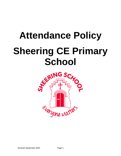# **Attendance Policy Sheering CE Primary**

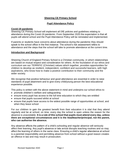# **Sheering CE Primary School**

# **Pupil Attendance Policy**

## **Covid-19 pandemic**

Sheering CE Primary School will implement all DfE policies and guidelines relating to attendance during the Covid-19 pandemic. From September 2020 the expectation is that all pupils will attend school and the Pupil Attendance Policy will be reinstated and implemented.

If parents or students have concerns about attendance during the pandemic they should speak to the school office in the first instance. The school's risk assessment refers to attendance and the steps that the school will take to promote attendance at the current time.

## **Introduction and Background**

Sheering Church of England Primary School is a Christian community, in which relationships are based on mutual respect and consideration for others. At the foundation of our ethos and curriculum are our TERRIFIC (Christian) values which together, provides opportunities for children to develop as resilient, independent, confident and successful learners, with high aspirations, who know how to make a positive contribution to their community and the wider society.

We recognise that positive behaviour and good attendance are essential in order to raise standards of pupil attainment and to give every child/young person the best educational experience possible.

This policy is written with the above statement in mind and underpins our school ethos to:

- promote children's welfare and safeguarding
- ensure every pupil has access to the full time education to which they are entitled
- ensure that pupils succeed whilst at school
- ensure that pupils have access to the widest possible range of opportunities at school, and when they leave school

For our children to gain the greatest benefit from their education it is vital that they attend regularly and be at school, on time, every day the school is open unless the reason for the absence is unavoidable. **It is a rule of this school that pupils must attend every day, unless there are exceptional circumstances and it is the** *headteacher/principal***, not the parent, who can authorise the absence.**

Any absence affects the pattern of a child's schooling and regular absence will seriously affect their learning. Any pupil's absence or late arrival disrupts teaching routines and so may affect the learning of others in the same class. Ensuring a child's regular attendance at school is a parental responsibility and permitting absence from school without a good reason creates an offence in law and may result in prosecution.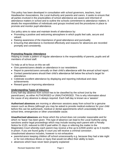This policy has been developed in consultation with school governors, teachers, local Headteacher Associations, the Local Authority and parents and carers. It seeks to ensure that all parties involved in the practicalities of school attendance are aware and informed of attendance matters in school and to outline the schools commitment to attendance matters. It details the responsibilities of individuals and groups involved and the procedures in place to promote and monitor pupil attendance.

Our policy aims to raise and maintain levels of attendance by:

- Promoting a positive and welcoming atmosphere in which pupils feel safe, secure and valued.
- Raising awareness of the importance of good attendance and punctuality
- Ensuring that attendance is monitored effectively and reasons for absences are recorded promptly and consistently.

# **Promoting Regular Attendance**

Helping to create a pattern of regular attendance is the responsibility of parents, pupils and all members of school staff.

To help us all to focus on this we will:

- Give parents/carers details on attendance in our newsletters
- Report to parents/carers annually on their child's attendance with the annual school report.
- Contact parents/carers should their child's attendance fall below the school's target for attendance.
- Celebrate excellent attendance by displaying and reporting individual and class achievements
- Reward good or improving attendance

# **Understanding Types of Absence**

Every half-day absence from school has to be classified by the school (not by the parent/carer), as either AUTHORISED or UNAUTHORISED. This is why information about the cause of any absence is always required. Each half-day is known as a 'session'

**Authorised absences** are morning or afternoon sessions away from school for a genuine reason such as illness (although you may be asked to provide medical evidence for your child before this can be authorised), medical or dental appointments which unavoidably fall in school time, emergencies or other unavoidable cause.

**Unauthorised absences** are those which the school does not consider reasonable and for which no 'leave' has been given. This type of absence can lead to the Local Authority using sanctions and/or legal proceedings which may include issuing each parent with a Penalty Notice for £120, reduced to £60 if paid within 21 days or referring the matter to the Magistrates Court whereby each parent may receive a fine up to £2500 and/or up to 3 months in prison. If you are found guilty in court you will receive a criminal conviction . Unauthorised absence includes, however is not exhaustive:

- parents/carers keeping children off school unnecessarily e.g. because they had a late night or for non-infectious illness or injury that would not affect their ability to learn.
- absences which have never been properly explained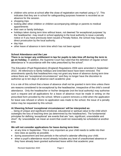- children who arrive at school after the close of registration are marked using a 'U'. This indicates that they are in school for safeguarding purposes however is recorded as an absence for the session.
- shopping trips
- looking after other children or children accompanying siblings or parents to medical appointments
- their own or family birthdays
- holidays taken during term time without leave, not deemed 'for exceptional purposes' by the headteacher- may result in school applying to the local authority to issue a penalty notice or if you have previously been issued a Penalty Notice, the school may request a direct prosecution by the local authority.
- day trips
- other leave of absence in term time which has not been agreed

# **School Attendance and the Law**

**There is no longer any entitlement in law for pupils to take time off during the term to go on holiday.** In addition, the Supreme Court has ruled that the definition of regular school attendance is "in accordance with the rules prescribed by the school".

The Education (Pupil Registration) (England) Regulations 2006 were amended in September 2013. All references to family holidays and extended leave have been removed. The amendments specify that headteachers may not grant any leave of absence during term time unless there are "exceptional circumstances" and they no longer have the discretion to authorise up to ten days of absence each academic year.

It is a rule of this school that a leave of absence shall not be granted in term time unless there are reasons considered to be exceptional by the headteacher, irrespective of the child's overall attendance. Only the headteacher or his/her designate (not the local authority) may authorise such a request and all applications for a leave of absence must be made in writing on the prescribed form provided by the school. Where a parent removes a child when the application for leave was refused or where no application was made to the school, the issue of a penalty notice may be requested by this school.

# **At Sheering School 'exceptional circumstances' will be interpreted as:**

... being of unique and significant emotional, educational or spiritual value to the child which outweighs the loss of teaching time (as determined by the headteacher). The fundamental principles for defining 'exceptional' are events that are "rare, significant, unavoidable and short". By 'unavoidable' we mean an event that could not reasonably be scheduled at another time.

# **We will not consider applications for leave during term time:**

- at any time in September. This is very important as your child needs to settle into their new class as quickly as possible.
- during assessment and test periods in the school's calendar affecting your child.
- when a pupil's attendance record already includes any level of unauthorised absence or they have already been granted authorised leave within that academic year.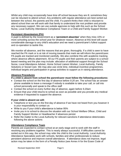Whilst any child may occasionally have time off school because they are ill, sometimes they can be reluctant to attend school. Any problems with regular attendance are best sorted out between the school, the parents and the child. If a parent thinks their child is reluctant to attend school then we will work with that family to understand the root problem and provide any necessary support. We can use outside agencies to help with this such as the School Nurse, Local Authority Attendance Compliance Team or a Child and Family Support Worker.

# **Persistent Absenteeism (PA)**

A pupil is defined by the Government as a **'persistent absentee'** when they miss 10% or more schooling across the school year for whatever reason. Absence at this level will cause considerable damage to any child's education and we need a parent/carer's fullest support and co-operation to tackle this.

We monitor all absence, and the reasons that are given, thoroughly. If a child is seen to have reached the PA mark or is at risk of moving towards that mark we will inform the parent/carer. PA pupils are tracked and monitored carefully. We also combine this with academic tracking where absence affects attainment. All our PA pupils and their parents are subject to a school based meeting and the plan may include: allocation of additional support through the School Nurse, Local Attendance Adviser, Home School Liaison Worker, Local Authority, Family Solutions or Social Care. We may also use circle time, individual incentive programmes, individual targets and participation in group activities to support us in raising attendance.

# **Absence Procedures**

# **If a child is absent from school the parent/carer must follow the following procedures:**

- Contact the school on the first day of absence before *9.20 am*. The school has an answer phone available to leave a message if nobody is available to take your call, or call into school personally and speak to the office staff
- Contact the school on every further day of absence, again before *9.20am*
- Ensure that your child returns to school as soon as possible and you provide any medical evidence if requested to support the absence.

# **If your child is absent we will:**

- Telephone or text you on the first day of absence if we have not heard from you however it is your responsibility to contact us
- Write to you if your child's attendance is below 95%
- Invite you in to school to discuss the situation with our School Welfare Officer, Child and Family Support Worker or Headteacher if absences persist
- Refer the matter to the Local Authority for relevant sanctions if attendance deteriorates following the above actions

# **Attendance Compliance Team**

Parents are expected to contact school at an early stage and to work with the staff in resolving any problems together. This is nearly always successful. If difficulties cannot be sorted out in this way, the school may refer the child to the Local Authority. Local Authority Attendance Specialists work with schools, families and other professionals to reduce persistent absence and improve overall attendance. If attendance does not improve, legal action may be taken in the form of a Penalty Notice (see Annex A for the Essex Code of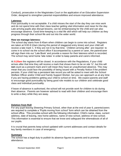Conduct), prosecution in the Magistrates Court or the application of an Education Supervision Order, designed to strengthen parental responsibilities and ensure improved attendance.

# **Lateness**

Poor punctuality is not acceptable. If a child misses the start of the day they can miss work and do not spend time with their class teacher getting vital information and news for the day. Late arriving pupils also disrupt lessons, can be embarrassing for the child and can also encourage absence. Good time-keeping is a vital life skill which will help our children as they progress through their school life and out into the wider world.

## **How we manage lateness:**

The school day starts from 8:45am when children can begin to come into school. Registers are taken at 9:00-9:10am (during this period of staggered entry times) and your child will receive a late mark 'L' if they are not in by that time. Children arriving after are required to come in to school via the school office if accompanied by a parent or carer, the parent/carer will sign them into our 'Late Book' and provide a reason for their lateness which is recorded. The school may send home 'late notes' in order to keep parents and carers informed.

At *9.20am* the registers will be closed. In accordance with the Regulations, if your child arrives after that time they will receive a mark that shows them to be on site 'U', but this will **not** count as a present mark and it will mean they have an unauthorised absence. This may mean that you could face the possibility of being issued with a Penalty Notice if the problem persists. If your child has a persistent late record you will be asked to meet with the School Welfare Officer and/or Child and Family Support Worker, but you can approach us at any time if you are having problems getting your child to school on time. We expect parents and staff to encourage good punctuality by being good role models to our children and celebrate good class and individual punctuality.

If leave of absence is authorised, the school will not provide work for children to do during their absence. Parents are however advised to read with their children and encourage them to write a diary while they are away.

# **Deletion from Roll**

For any pupil leaving Sheering Primary School*,* other than at the end of year 6*,* parents/carers are required to complete a 'Pupils moving from *school*' form which can be obtained from the school office. This provides school with the following information: Child's name, class, current address, date of leaving, new home address, name of new school, address of new school. This information is essential to ensure that we know and safeguard the whereabouts of all of our pupils.

It is crucial that parents keep school updated with current addresses and contact details for key family members in case of emergency.

# **Summary**

The school has a legal duty to publish its absence figures to parents and to promote attendance.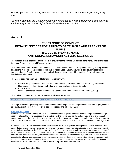Equally, parents have a duty to make sure that their children attend school, on time, every day.

*All school staff and the Governing Body are committed to working with parents and pupils as the best way to ensure as high a level of attendance as possible.*

# **Annex A**

# **ESSEX CODE OF CONDUCT PENALTY NOTICES FOR PARENTS OF TRUANTS AND PARENTS OF PUPILS EXCLUDED FROM SCHOOL ANTI-SOCIAL BEHAVIOUR ACT 2003 SECTION 23**

The purpose of this local code of conduct is to ensure that the powers are applied consistently and fairly across the Local Authority area to all Essex residents.

The Government requires Local Authorities to issue a code of conduct and any persons issuing Penalty Notices to a parent<sup>1</sup> must do so in accordance with this protocol. Essex County Council is legislatively responsible for administering the Penalty Notice scheme and will do so in accordance with a number of legislative and nonlegislative requirements.

The Essex code has been agreed following consultation with;

- Essex County Council representatives Attendance Compliance Team and Essex Legal Services.
- Representatives from Governing Bodies and Headteachers of Essex Schools
- Essex Police
- Persons accredited under Essex Police's Community Safety Accreditation Scheme (CSAS)

The Code of Conduct is in accordance with the following legislation;

**LEGISLATIVE FRAMEWORK FOR EDUCATION PENALTY NOTICES** 

The legal framework governing school attendance and the responsibilities of parents of excluded pupils, schools and the LA is set out in a succession of acts, regulations and other guidance.

## **Education Act 1996**

Under Section 7 of the Act: the parent is responsible for making sure that their child of compulsory school age receives efficient full time education that is suitable to the child's age, ability and aptitude and to any special educational needs that the child may have, this can be by regular attendance at school, or otherwise (the parent can choose to educate their child themselves). If it appears to the LA that a child of compulsory school age is not

<sup>&</sup>lt;sup>1</sup> All those defined as a parent under Section 576 Education Act 1996 are parents for the purpose of these provisions. This means that all natural parents, whether they are married or not; any person who, although not a natural parent, has parental responsibility (as defined in the Children Act 1989) for a child or young person; and any person who, although not a natural parent, has care of a child or young person. Having care of a child or young person means that a person with whom the child lives and who looks after the child, irrespective of what their relationship is with the child, is considered to be a parent in education law. Parent means each and every parent coming within the definition (whether acting jointly or separately) and should not be taken to mean that provisions only apply to parent in the singular. As with prosecutions under Section 444 Education Act 1996 a penalty notice may be issued to each parent liable for the offence.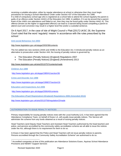receiving a suitable education, either by regular attendance at school or otherwise then they must begin procedures for issuing a School Attendance Order under Section 437 of the Education Act 1996. If a child of compulsory school age who is registered at a school fails to attend the school regularly the parent is guilty of an offence under Section 444(1) of the Education Act 1996. In addition, if it can be proved that a parent knew of the child's non-attendance and failed to act, then they may be found guilty under Section 444(1 A). This offence (known as the higher or aggravated offence) can lead to a warrant being issued compelling a parent to attend court and conviction may result in a higher level fine and/or a custodial sentence.

On 6 April 2017, in the case of Isle of Wight Council v Platt [2017] UKSC 28, the Supreme Court ruled that the word 'regularly' means 'in accordance with the rules prescribed by the school.'

## **Anti-social Behaviour Act 2003**

## <http://www.legislation.gov.uk/ukpga/2003/38/contents>

The Act added two new sections (444A and 444B) to the Education Act. It introduced penalty notices as an alternative to prosecution under Section 444; the issuing of penalty notices is governed by:

- The Education (Penalty Notices) (England) Regulations 2007
- The Education (Penalty Notices) (England) (Amendment) 2013

<http://www.legislation.gov.uk/uksi/2013/757/contents/made>

## **Children Act 1989**

<http://www.legislation.gov.uk/ukpga/1989/41/section/36>

**Crime and Disorder Act 1998** 

<https://www.legislation.gov.uk/ukpga/1998/37/section/16>

**Education and Inspections Act 2006** 

<http://www.legislation.gov.uk/ukpga/2006/40/contents>

**The Education (Pupil Registration) (England) Regulations 2006 (Amended 2013)**

<http://www.legislation.gov.uk/uksi/2013/756/regulation/2/made>

## **AUTHORISATION TO ISSUE PENALTY NOTICES**

Primary responsibility for issuing penalty notices rests with the Local Authority (LA). It has been agreed that the Attendance Compliance Team, on behalf of Essex LA, will usually issue penalty notices. The Service will administer the scheme from any funds obtained as a result of issuing penalty notices.

Head Teachers (and Deputy Head Teachers and Assistant Head Teachers authorised by the head teacher) and police, and persons accredited by the community safety accreditation scheme are all able to issue the notices under the Act, although there is no requirement for them to do so.

In Essex it has been agreed that the Police and Head Teachers will not issue penalty notices to parents. Persons accredited through the Community Safety Accreditation Scheme<sup>2</sup> are authorised to do so.

<sup>2</sup> Accredited companies at time of this publication are Attendance Solutions Essex, Aquinas School Attendance Provisions and NEMAT Support Services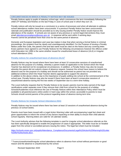## **CIRCUMSTANCES IN WHICH A PENALTY NOTICE MAY BE ISSUED**

Penalty Notices apply to pupils of statutory school age, which commences the term immediately following the child's  $5<sup>th</sup>$  birthday and finishes on the last Friday in June of school year in which they turn 16.

Penalty notices will only be issued as a conclusion to a series of processes and when all attempts to address school attendance matters have been unsuccessful. If a previous Penalty Notice has been unsuccessful, rationale and justification should be provided as to why issuing another Penalty Notice would improve the attendance of the student. If schools are not aware of any previous or current legal interventions they must email [attendancecompliance@essex.gov.uk](mailto:attendancecompliance@essex.gov.uk) . A response will be sent within 3 working days. Parents cannot be penalised more than once for the same period of absence.

Domestic and European legislation and case law makes it clear that when serving a formal Notice in criminal proceedings, the recipient must be clearly and unambiguously identified. For the Purpose of issuing a Penalty Notice under this Code, the parent's first and last name must be cited on the Notice and any covering letter. Essex partners have agreed to use Penalty Notices for the following circumstances however the offence under s444 Education Act 1996 is the same whether issued for unauthorised leave of absence (ULA) or irregular school attendance (ISA):

## **Penalty notices for unauthorised leave of absence (ULA)<sup>3</sup>**

Penalty Notices may be issued where there have been at least 10 consecutive sessions of unauthorised absence for the purpose of a holiday, whereby a parent made an application to the School which the Head Teacher has deemed not for exceptional circumstances. In addition, a Penalty Notice may also be issued, whereby the parent did not submit a leave of absence request, however the school have reason to believe the absence was for the purpose of a holiday and should not be authorised as parent has not provided any additional evidence which the Head Teacher deems appropriate to support the absence. In addition to the above criteria, due to the importance of pupils settling into school at the commencement of the school year, Penalty Notices may also be issued if there have been at least 6 consecutive sessions of unauthorised absence during the first two weeks of September due to a term-time holiday.

The Local Authority requests that for Penalty Notices to be issued, parents must be duly warned of the legal ramifications under separate cover if they remove their child from school for the purpose of a holiday. Schools/Academies must reference the use of Penalty Notices within their Attendance Policy which must be available to all parents/carers online and/or in hard copy within the school, accessible to parents to read. Schools should remind parents of the protocol regarding leave of absence during term time.

## **Penalty Notices for Irregular School Attendance (ISA)**

Penalty Notices may be issued where there has been at least 10 sessions of unauthorised absence during the previous 10 school weeks.

Parents must have been issued with a Legal Action Warning Letter with accompanying Legal fact sheet and given opportunities to inform the school of any factors impacting on their ability to ensure their child attends school regularly. Warning letters are valid for 18 calendar weeks.

The Local Authority advises that the following template is used for irregular school attendance referrals as this has been specifically designed to enable the progression of cases if appropriate. This letter must be on headed paper from the school or accredited persons issuing the notice. The legal fact sheet must be included

[https://schools.essex.gov.uk/pupils/Attendance\\_Compliance/Documents/Legal%20Action%20Warning%20Letter](https://schools.essex.gov.uk/pupils/Attendance_Compliance/Documents/Legal%20Action%20Warning%20Letter%20for%20schools.docx) [%20for%20schools.docx](https://schools.essex.gov.uk/pupils/Attendance_Compliance/Documents/Legal%20Action%20Warning%20Letter%20for%20schools.docx) .

<sup>3</sup> Truancy/unauthorised/irregular school attendance refers to absence from school without permission or good reason and the absence is unauthorised by the school.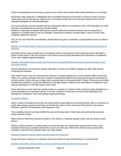Failure to adequately issue warning to parents may result in the Penalty Notice being withdrawn or not issued.

All penalty notice referrals or notifications from Accredited Persons must be sent via Essex County Council's online portal and all relevant pre-referral work in accordance with the Local Authority requirements must be uploaded alongside the referral/notification.

The Local Authority must be satisfied that the substantive offence in accordance with s.444 Education Act 1996 has been committed prior to issuing a Penalty Notice.

Evidence of attempts to address attendance concerns within the previous 8 weeks prior to requesting or notifying of a Penalty Notice must be submitted. Satisfactory evidence includes letters, notes of home visits, meetings, telephone calls etc.

N.B. *for ULA and ISA PN's consideration should always be given to whether it is appropriate to issue to absent parents.*

**Number of Penalty Notices which can be issued for Irregular school attendance/unauthorised leave of absence**

Discretion will be used to enable up to two penalty notices to be issued to each parent for each child within a twelve month period. If the law continues to be broken around school attendance the Attendance Compliance Team may instigate legal proceedings.

**Number of Penalty Notices which can be issued for pupils identified during a school attendance and exclusion sweep** 

School attendance and exclusion sweeps take place in Essex and children stopped are often with parents condoning the absence.

If the Head Teacher has not authorised the absence of a pupil stopped by a Local Authority Officer and Police Officer on a sweep and there has been at least 9 unauthorised absences for that pupil during the preceding 10 schools weeks, school will issue a legal action warning letter to the parent within 14 days. If there are any further unauthorised absences, during the following 18 calendar weeks a referral to the Attendance Compliance Team may be submitted for a Penalty Notice to be issued.

Essex will issue no more than two penalty notices to a parent in a twelve month period for pupils identified on a school attendance and exclusion sweep. If the law continues to be broken around school attendance the Attendance Compliance Team will instigate legal proceedings.

## **Excluded children**

When a child is excluded from school, the parent will be responsible for ensuring that their child is not found in a public place during normal school hours on the first five days of each and every fixed period or permanent exclusion. (Section 103 Education and Inspections Act)

The excluding school must have notified the parent informing them of their duty and warning that a penalty notice could be issued.

Where there is more than one person liable for the offence, a separate penalty notice may be issued to each person.

Where a pupil is present in a public place in the first five days of a fixed period exclusion the Essex Local Authority would issue a penalty notice if the school is in their area. Where the child has been permanently excluded, it would be the authority where the child resides.

**Number of penalty notices which can be issued for exclusion**

Essex will issue a maximum of 2 penalty notices per parent for each child during a 12 month period.

**Number of penalty notices which can be issued for unauthorised leave of absence**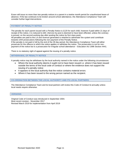Essex will issue no more than two penalty notices to a parent in a twelve month period for unauthorised leave of absence. If the law continues to be broken around school attendance, the Attendance Compliance Team will consider further legal interventions.

## **PAYMENT OF PENALTY NOTICE**

The penalty for each parent issued with a Penalty Notice is £120 for each child, however if paid within 21 days of receipt of the notice, it is reduced to £60. (Service by post is deemed to have been effected, unless the contrary is proved, on the second working day after posting the notice by first class post).

All penalties are paid to the LA and revenue generated is retained to administer the system and contribute towards s444 prosecutions following the non-payment of the Penalty Notice.

If the penalty is not paid in full by the end of the 28 day period, the Attendance Compliance Team will either prosecute for the offence to which the notice applies or withdraw the notice. The prosecution is not for nonpayment of the notice but is a prosecution for irregular school attendance – Education Act 1996 Section 4441.

There is no statutory right of appeal against the issuing of a penalty notice.

#### **WITHDRAWAL OF PENALTY NOTICE**

A penalty notice may be withdrawn by the local authority named in the notice under the following circumstances:

- Where the local authority deems it ought not to have been issued i.e. where it has been issued outside the terms of the local code of conduct or where the evidence does not support the issuing of a penalty notice
- It appears to the local authority that the notice contains material errors
- Where it has been issued to the wrong person named as the recipient.

## **CO-ORDINATION BETWEEN THE LOCAL AUTHORITY AND ITS LOCAL PARTNERS**

The Attendance Compliance Team and its local partners will review this Code of Conduct bi-annually unless local needs require otherwise.

## **VERSIONS**

Original Code of Conduct was introduced in September 2004. Most recent revision - November 2017 Revised March 2019 for implementation from April 2019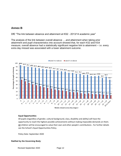# **Annex B**

DfE "The link between absence and attainment at KS2 - 2013/14 academic year"

The analysis of the link between overall absence ….and attainment when taking prior attainment and pupil characteristics into account showed that, for each KS2 and KS4 measure, overall absence had a statistically significant negative link to attainment – i.e. every extra day missed was associated with a lower attainment outcome.



Weeks missed across key stage 2

## **Equal Opportunities**

All pupils (regardless of gender, cultural background, class, disability and ability) will have the opportunity to reach the highest possible achievements without making impossible demands on them. All children will be encouraged to value their own and other people's contributions . For further details see the School's Equal Opportunities Policy.

Policy Date: September 2020

## **Ratified by the Governing Body**:

Revised September 2020 Page 12